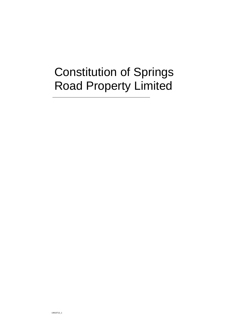# Constitution of Springs Road Property Limited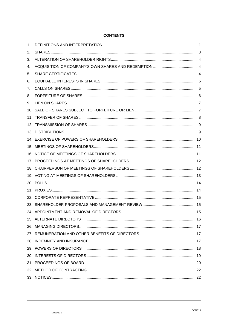# **CONTENTS**

| 1. |  |
|----|--|
| 2. |  |
| 3. |  |
| 4. |  |
| 5. |  |
| 6. |  |
| 7. |  |
| 8. |  |
| 9. |  |
|    |  |
|    |  |
|    |  |
|    |  |
|    |  |
|    |  |
|    |  |
|    |  |
|    |  |
|    |  |
|    |  |
|    |  |
|    |  |
|    |  |
|    |  |
|    |  |
|    |  |
|    |  |
|    |  |
|    |  |
|    |  |
|    |  |
|    |  |
|    |  |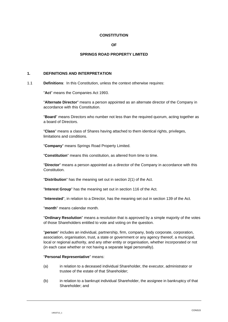#### **CONSTITUTION**

#### **OF**

#### **SPRINGS ROAD PROPERTY LIMITED**

## **1. DEFINITIONS AND INTERPRETATION**

1.1 **Definitions**: In this Constitution, unless the context otherwise requires:

"**Act**" means the Companies Act 1993.

"**Alternate Director**" means a person appointed as an alternate director of the Company in accordance with this Constitution.

"**Board**" means Directors who number not less than the required quorum, acting together as a board of Directors.

"**Class**" means a class of Shares having attached to them identical rights, privileges, limitations and conditions.

"**Company**" means Springs Road Property Limited.

"**Constitution**" means this constitution, as altered from time to time.

"**Director**" means a person appointed as a director of the Company in accordance with this Constitution.

"**Distribution**" has the meaning set out in section 2(1) of the Act.

"**Interest Group**" has the meaning set out in section 116 of the Act.

"**Interested**", in relation to a Director, has the meaning set out in section 139 of the Act.

"**month**" means calendar month.

"**Ordinary Resolution**" means a resolution that is approved by a simple majority of the votes of those Shareholders entitled to vote and voting on the question.

"**person**" includes an individual, partnership, firm, company, body corporate, corporation, association, organisation, trust, a state or government or any agency thereof, a municipal, local or regional authority, and any other entity or organisation, whether incorporated or not (in each case whether or not having a separate legal personality).

#### "**Personal Representative**" means:

- (a) in relation to a deceased individual Shareholder, the executor, administrator or trustee of the estate of that Shareholder;
- (b) in relation to a bankrupt individual Shareholder, the assignee in bankruptcy of that Shareholder; and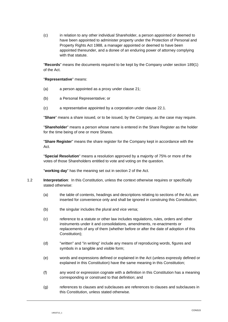(c) in relation to any other individual Shareholder, a person appointed or deemed to have been appointed to administer property under the Protection of Personal and Property Rights Act 1988, a manager appointed or deemed to have been appointed thereunder, and a donee of an enduring power of attorney complying with that statute.

"**Records**" means the documents required to be kept by the Company under section 189(1) of the Act.

#### "**Representative**" means:

- (a) a person appointed as a proxy under clause [21;](#page-15-0)
- (b) a Personal Representative; or
- (c) a representative appointed by a corporation under clause [22.1.](#page-16-0)

"**Share**" means a share issued, or to be issued, by the Company, as the case may require.

"**Shareholder**" means a person whose name is entered in the Share Register as the holder for the time being of one or more Shares.

"**Share Register**" means the share register for the Company kept in accordance with the Act.

"**Special Resolution**" means a resolution approved by a majority of 75% or more of the votes of those Shareholders entitled to vote and voting on the question.

"**working day**" has the meaning set out in section 2 of the Act.

- 1.2 **Interpretation**: In this Constitution, unless the context otherwise requires or specifically stated otherwise:
	- (a) the table of contents, headings and descriptions relating to sections of the Act, are inserted for convenience only and shall be ignored in construing this Constitution;
	- (b) the singular includes the plural and vice versa;
	- (c) reference to a statute or other law includes regulations, rules, orders and other instruments under it and consolidations, amendments, re-enactments or replacements of any of them (whether before or after the date of adoption of this Constitution);
	- (d) "written" and "in writing" include any means of reproducing words, figures and symbols in a tangible and visible form;
	- (e) words and expressions defined or explained in the Act (unless expressly defined or explained in this Constitution) have the same meaning in this Constitution;
	- (f) any word or expression cognate with a definition in this Constitution has a meaning corresponding or construed to that definition; and
	- (g) references to clauses and subclauses are references to clauses and subclauses in this Constitution, unless stated otherwise.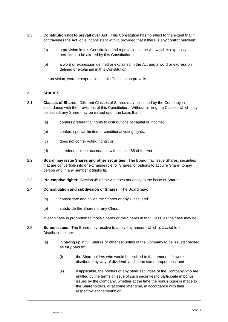- 1.3 **Constitution not to prevail over Act**: This Constitution has no effect to the extent that it contravenes the Act, or is inconsistent with it, provided that if there is any conflict between:
	- (a) a provision in this Constitution and a provision in the Act which is expressly permitted to be altered by this Constitution; or
	- (b) a word or expression defined or explained in the Act and a word or expression defined or explained in this Constitution,

the provision, word or expression in this Constitution prevails.

#### <span id="page-4-1"></span>**2. SHARES**

- 2.1 **Classes of Shares**: Different Classes of Shares may be issued by the Company in accordance with the provisions of this Constitution. Without limiting the Classes which may be issued, any Share may be issued upon the basis that it:
	- (a) confers preferential rights to distributions of capital or income;
	- (b) confers special, limited or conditional voting rights;
	- (c) does not confer voting rights; or
	- (d) is redeemable in accordance with section 68 of the Act.
- <span id="page-4-2"></span>2.2 **Board may issue Shares and other securities**: The Board may issue Shares, securities that are convertible into or exchangeable for Shares, or options to acquire Share, to any person and in any number it thinks fit.
- 2.3 **Pre-emptive rights**: Section 45 of the Act does not apply to the issue of Shares.
- 2.4 **Consolidation and subdivision of Shares**: The Board may:
	- (a) consolidate and divide the Shares or any Class; and
	- (b) subdivide the Shares or any Class,

in each case in proportion to those Shares or the Shares in that Class, as the case may be.

- <span id="page-4-0"></span>2.5 **Bonus issues**: The Board may resolve to apply any amount which is available for Distribution either:
	- (a) in paying up in full Shares or other securities of the Company to be issued credited as fully paid to:
		- (i) the Shareholders who would be entitled to that amount if it were distributed by way of dividend, and in the same proportions; and
		- (ii) if applicable, the holders of any other securities of the Company who are entitled by the terms of issue of such securities to participate in bonus issues by the Company, whether at the time the bonus issue is made to the Shareholders, or at some later time, in accordance with their respective entitlements; or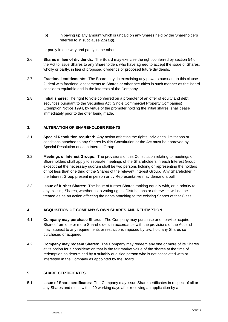(b) in paying up any amount which is unpaid on any Shares held by the Shareholders referred to in subclause [2.5\(a\)\(i\),](#page-4-0)

or partly in one way and partly in the other.

- 2.6 **Shares in lieu of dividends**: The Board may exercise the right conferred by section 54 of the Act to issue Shares to any Shareholders who have agreed to accept the issue of Shares, wholly or partly, in lieu of proposed dividends or proposed future dividends.
- 2.7 **Fractional entitlements**: The Board may, in exercising any powers pursuant to this clause [2,](#page-4-1) deal with fractional entitlements to Shares or other securities in such manner as the Board considers equitable and in the interests of the Company.
- 2.8 **Initial shares**: The right to vote conferred on a promoter of an offer of equity and debt securities pursuant to the Securities Act (Single Commercial Property Companies) Exemption Notice 1994, by virtue of the promoter holding the initial shares, shall cease immediately prior to the offer being made.

## **3. ALTERATION OF SHAREHOLDER RIGHTS**

- 3.1 **Special Resolution required**: Any action affecting the rights, privileges, limitations or conditions attached to any Shares by this Constitution or the Act must be approved by Special Resolution of each Interest Group.
- 3.2 **Meetings of Interest Groups**: The provisions of this Constitution relating to meetings of Shareholders shall apply to separate meetings of the Shareholders in each Interest Group, except that the necessary quorum shall be two persons holding or representing the holders of not less than one third of the Shares of the relevant Interest Group. Any Shareholder in the Interest Group present in person or by Representative may demand a poll.
- 3.3 **Issue of further Shares**: The issue of further Shares ranking equally with, or in priority to, any existing Shares, whether as to voting rights, Distributions or otherwise, will not be treated as be an action affecting the rights attaching to the existing Shares of that Class.

## **4. ACQUISITION OF COMPANY**'**S OWN SHARES AND REDEMPTION**

- 4.1 **Company may purchase Shares**: The Company may purchase or otherwise acquire Shares from one or more Shareholders in accordance with the provisions of the Act and may, subject to any requirements or restrictions imposed by law, hold any Shares so purchased or acquired.
- 4.2 **Company may redeem Shares**: The Company may redeem any one or more of its Shares at its option for a consideration that is the fair market value of the shares at the time of redemption as determined by a suitably qualified person who is not associated with or interested in the Company as appointed by the Board.

#### **5. SHARE CERTIFICATES**

5.1 **Issue of Share certificates**: The Company may issue Share certificates in respect of all or any Shares and must, within 20 working days after receiving an application by a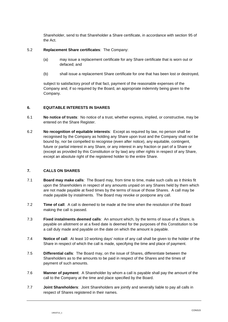Shareholder, send to that Shareholder a Share certificate, in accordance with section 95 of the Act.

#### 5.2 **Replacement Share certificates**: The Company:

- (a) may issue a replacement certificate for any Share certificate that is worn out or defaced; and
- (b) shall issue a replacement Share certificate for one that has been lost or destroyed,

subject to satisfactory proof of that fact, payment of the reasonable expenses of the Company and, if so required by the Board, an appropriate indemnity being given to the Company.

## **6. EQUITABLE INTERESTS IN SHARES**

- 6.1 **No notice of trusts**: No notice of a trust, whether express, implied, or constructive, may be entered on the Share Register.
- 6.2 **No recognition of equitable interests**: Except as required by law, no person shall be recognised by the Company as holding any Share upon trust and the Company shall not be bound by, nor be compelled to recognise (even after notice), any equitable, contingent, future or partial interest in any Share, or any interest in any fraction or part of a Share or (except as provided by this Constitution or by law) any other rights in respect of any Share, except an absolute right of the registered holder to the entire Share.

## **7. CALLS ON SHARES**

- 7.1 **Board may make calls**: The Board may, from time to time, make such calls as it thinks fit upon the Shareholders in respect of any amounts unpaid on any Shares held by them which are not made payable at fixed times by the terms of issue of those Shares. A call may be made payable by instalments. The Board may revoke or postpone any call.
- 7.2 **Time of call**: A call is deemed to be made at the time when the resolution of the Board making the call is passed.
- 7.3 **Fixed instalments deemed calls**: An amount which, by the terms of issue of a Share, is payable on allotment or at a fixed date is deemed for the purposes of this Constitution to be a call duly made and payable on the date on which the amount is payable.
- 7.4 **Notice of call**: At least 10 working days' notice of any call shall be given to the holder of the Share in respect of which the call is made, specifying the time and place of payment.
- 7.5 **Differential calls**: The Board may, on the issue of Shares, differentiate between the Shareholders as to the amounts to be paid in respect of the Shares and the times of payment of such amounts.
- 7.6 **Manner of payment**: A Shareholder by whom a call is payable shall pay the amount of the call to the Company at the time and place specified by the Board.
- 7.7 **Joint Shareholders**: Joint Shareholders are jointly and severally liable to pay all calls in respect of Shares registered in their names.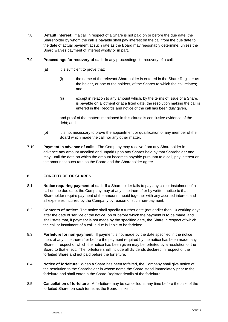- 7.8 **Default interest**: If a call in respect of a Share is not paid on or before the due date, the Shareholder by whom the call is payable shall pay interest on the call from the due date to the date of actual payment at such rate as the Board may reasonably determine, unless the Board waives payment of interest wholly or in part.
- 7.9 **Proceedings for recovery of call**: In any proceedings for recovery of a call:
	- (a) it is sufficient to prove that:
		- (i) the name of the relevant Shareholder is entered in the Share Register as the holder, or one of the holders, of the Shares to which the call relates; and
		- (ii) except in relation to any amount which, by the terms of issue of a Share, is payable on allotment or at a fixed date, the resolution making the call is entered in the Records and notice of the call has been duly given,

and proof of the matters mentioned in this clause is conclusive evidence of the debt; and

- (b) it is not necessary to prove the appointment or qualification of any member of the Board which made the call nor any other matter.
- 7.10 **Payment in advance of calls**: The Company may receive from any Shareholder in advance any amount uncalled and unpaid upon any Shares held by that Shareholder and may, until the date on which the amount becomes payable pursuant to a call, pay interest on the amount at such rate as the Board and the Shareholder agree.

## **8. FORFEITURE OF SHARES**

- 8.1 **Notice requiring payment of call**: If a Shareholder fails to pay any call or instalment of a call on the due date, the Company may at any time thereafter by written notice to that Shareholder require payment of the amount unpaid together with any accrued interest and all expenses incurred by the Company by reason of such non-payment.
- 8.2 **Contents of notice**: The notice shall specify a further date (not earlier than 10 working days after the date of service of the notice) on or before which the payment is to be made, and shall state that, if payment is not made by the specified date, the Share in respect of which the call or instalment of a call is due is liable to be forfeited.
- 8.3 **Forfeiture for non-payment**: If payment is not made by the date specified in the notice then, at any time thereafter before the payment required by the notice has been made, any Share in respect of which the notice has been given may be forfeited by a resolution of the Board to that effect. The forfeiture shall include all dividends declared in respect of the forfeited Share and not paid before the forfeiture.
- 8.4 **Notice of forfeiture**: When a Share has been forfeited, the Company shall give notice of the resolution to the Shareholder in whose name the Share stood immediately prior to the forfeiture and shall enter in the Share Register details of the forfeiture.
- 8.5 **Cancellation of forfeiture**: A forfeiture may be cancelled at any time before the sale of the forfeited Share, on such terms as the Board thinks fit.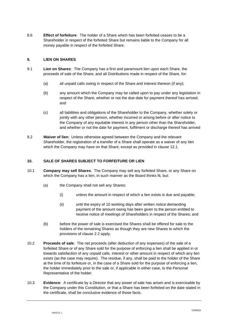8.6 **Effect of forfeiture**: The holder of a Share which has been forfeited ceases to be a Shareholder in respect of the forfeited Share but remains liable to the Company for all money payable in respect of the forfeited Share.

## **9. LIEN ON SHARES**

- 9.1 **Lien on Shares**: The Company has a first and paramount lien upon each Share, the proceeds of sale of the Share, and all Distributions made in respect of the Share, for:
	- (a) all unpaid calls owing in respect of the Share and interest thereon (if any);
	- (b) any amount which the Company may be called upon to pay under any legislation in respect of the Share, whether or not the due date for payment thereof has arrived; and
	- (c) all liabilities and obligations of the Shareholder to the Company, whether solely or jointly with any other person, whether incurred or arising before or after notice to the Company of any equitable interest in any person other than the Shareholder, and whether or not the date for payment, fulfilment or discharge thereof has arrived
- 9.2 **Waiver of lien**: Unless otherwise agreed between the Company and the relevant Shareholder, the registration of a transfer of a Share shall operate as a waiver of any lien which the Company may have on that Share, except as provided in clause [12.1.](#page-10-0)

## **10. SALE OF SHARES SUBJECT TO FORFEITURE OR LIEN**

- 10.1 **Company may sell Shares**: The Company may sell any forfeited Share, or any Share on which the Company has a lien, in such manner as the Board thinks fit, but:
	- (a) the Company shall not sell any Shares:
		- (i) unless the amount in respect of which a lien exists is due and payable;
		- (ii) until the expiry of 10 working days after written notice demanding payment of the amount owing has been given to the person entitled to receive notice of meetings of Shareholders in respect of the Shares; and
	- (b) before the power of sale is exercised the Shares shall be offered for sale to the holders of the remaining Shares as though they are new Shares to which the provisions of clause [2.2](#page-4-2) apply.
- 10.2 **Proceeds of sale**: The net proceeds (after deduction of any expenses) of the sale of a forfeited Share or of any Share sold for the purpose of enforcing a lien shall be applied in or towards satisfaction of any unpaid calls, interest or other amount in respect of which any lien exists (as the case may require). The residue, if any, shall be paid to the holder of the Share at the time of its forfeiture or, in the case of a Share sold for the purpose of enforcing a lien, the holder immediately prior to the sale or, if applicable in either case, to the Personal Representative of the holder.
- 10.3 **Evidence**: A certificate by a Director that any power of sale has arisen and is exercisable by the Company under this Constitution, or that a Share has been forfeited on the date stated in the certificate, shall be conclusive evidence of those facts.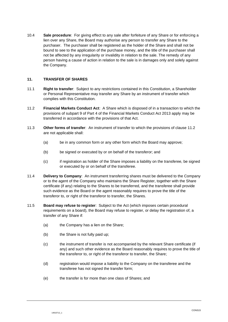10.4 **Sale procedure**: For giving effect to any sale after forfeiture of any Share or for enforcing a lien over any Share, the Board may authorise any person to transfer any Share to the purchaser. The purchaser shall be registered as the holder of the Share and shall not be bound to see to the application of the purchase money, and the title of the purchaser shall not be affected by any irregularity or invalidity in relation to the sale. The remedy of any person having a cause of action in relation to the sale is in damages only and solely against the Company.

#### **11. TRANSFER OF SHARES**

- 11.1 **Right to transfer**: Subject to any restrictions contained in this Constitution, a Shareholder or Personal Representative may transfer any Share by an instrument of transfer which complies with this Constitution.
- <span id="page-9-0"></span>11.2 **Financial Markets Conduct Act**: A Share which is disposed of in a transaction to which the provisions of subpart 9 of Part 4 of the Financial Markets Conduct Act 2013 apply may be transferred in accordance with the provisions of that Act.
- 11.3 **Other forms of transfer**: An instrument of transfer to which the provisions of clause [11.2](#page-9-0) are not applicable shall:
	- (a) be in any common form or any other form which the Board may approve;
	- (b) be signed or executed by or on behalf of the transferor; and
	- (c) if registration as holder of the Share imposes a liability on the transferee, be signed or executed by or on behalf of the transferee.
- 11.4 **Delivery to Company**: An instrument transferring shares must be delivered to the Company or to the agent of the Company who maintains the Share Register, together with the Share certificate (if any) relating to the Shares to be transferred, and the transferee shall provide such evidence as the Board or the agent reasonably requires to prove the title of the transferor to, or right of the transferor to transfer, the Shares.
- 11.5 **Board may refuse to register**: Subject to the Act (which imposes certain procedural requirements on a board), the Board may refuse to register, or delay the registration of, a transfer of any Share if:
	- (a) the Company has a lien on the Share;
	- (b) the Share is not fully paid up;
	- (c) the instrument of transfer is not accompanied by the relevant Share certificate (if any) and such other evidence as the Board reasonably requires to prove the title of the transferor to, or right of the transferor to transfer, the Share;
	- (d) registration would impose a liability to the Company on the transferee and the transferee has not signed the transfer form;
	- (e) the transfer is for more than one class of Shares; and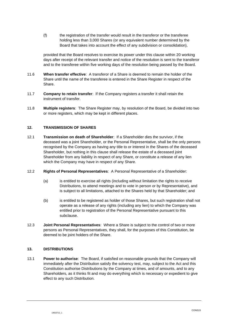(f) the registration of the transfer would result in the transferor or the transferee holding less than 3,000 Shares (or any equivalent number determined by the Board that takes into account the effect of any subdivision or consolidation),

provided that the Board resolves to exercise its power under this clause within 20 working days after receipt of the relevant transfer and notice of the resolution is sent to the transferor and to the transferee within five working days of the resolution being passed by the Board.

- 11.6 **When transfer effective**: A transferor of a Share is deemed to remain the holder of the Share until the name of the transferee is entered in the Share Register in respect of the Share.
- 11.7 **Company to retain transfer**: If the Company registers a transfer it shall retain the instrument of transfer.
- 11.8 **Multiple registers**: The Share Register may, by resolution of the Board, be divided into two or more registers, which may be kept in different places.

#### <span id="page-10-0"></span>**12. TRANSMISSION OF SHARES**

- 12.1 **Transmission on death of Shareholder**: If a Shareholder dies the survivor, if the deceased was a joint Shareholder, or the Personal Representative, shall be the only persons recognised by the Company as having any title to or interest in the Shares of the deceased Shareholder, but nothing in this clause shall release the estate of a deceased joint Shareholder from any liability in respect of any Share, or constitute a release of any lien which the Company may have in respect of any Share.
- 12.2 **Rights of Personal Representatives**: A Personal Representative of a Shareholder:
	- (a) is entitled to exercise all rights (including without limitation the rights to receive Distributions, to attend meetings and to vote in person or by Representative), and is subject to all limitations, attached to the Shares held by that Shareholder; and
	- (b) is entitled to be registered as holder of those Shares, but such registration shall not operate as a release of any rights (including any lien) to which the Company was entitled prior to registration of the Personal Representative pursuant to this subclause.
- 12.3 **Joint Personal Representatives**: Where a Share is subject to the control of two or more persons as Personal Representatives, they shall, for the purposes of this Constitution, be deemed to be joint holders of the Share.

#### **13. DISTRIBUTIONS**

13.1 **Power to authorise**: The Board, if satisfied on reasonable grounds that the Company will immediately after the Distribution satisfy the solvency test, may, subject to the Act and this Constitution authorise Distributions by the Company at times, and of amounts, and to any Shareholders, as it thinks fit and may do everything which is necessary or expedient to give effect to any such Distribution.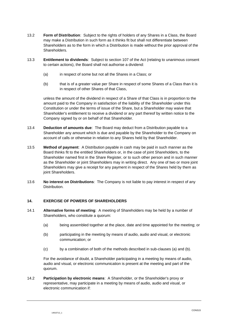- 13.2 **Form of Distribution**: Subject to the rights of holders of any Shares in a Class, the Board may make a Distribution in such form as it thinks fit but shall not differentiate between Shareholders as to the form in which a Distribution is made without the prior approval of the Shareholders.
- 13.3 **Entitlement to dividends**: Subject to section 107 of the Act (relating to unanimous consent to certain actions), the Board shall not authorise a dividend:
	- (a) in respect of some but not all the Shares in a Class; or
	- (b) that is of a greater value per Share in respect of some Shares of a Class than it is in respect of other Shares of that Class,

unless the amount of the dividend in respect of a Share of that Class is in proportion to the amount paid to the Company in satisfaction of the liability of the Shareholder under this Constitution or under the terms of issue of the Share, but a Shareholder may waive that Shareholder's entitlement to receive a dividend or any part thereof by written notice to the Company signed by or on behalf of that Shareholder.

- 13.4 **Deduction of amounts due**: The Board may deduct from a Distribution payable to a Shareholder any amount which is due and payable by the Shareholder to the Company on account of calls or otherwise in relation to any Shares held by that Shareholder.
- 13.5 **Method of payment**: A Distribution payable in cash may be paid in such manner as the Board thinks fit to the entitled Shareholders or, in the case of joint Shareholders, to the Shareholder named first in the Share Register, or to such other person and in such manner as the Shareholder or joint Shareholders may in writing direct. Any one of two or more joint Shareholders may give a receipt for any payment in respect of the Shares held by them as joint Shareholders.
- 13.6 **No interest on Distributions**: The Company is not liable to pay interest in respect of any Distribution.

## **14. EXERCISE OF POWERS OF SHAREHOLDERS**

- <span id="page-11-1"></span><span id="page-11-0"></span>14.1 **Alternative forms of meeting**: A meeting of Shareholders may be held by a number of Shareholders, who constitute a quorum:
	- (a) being assembled together at the place, date and time appointed for the meeting; or
	- (b) participating in the meeting by means of audio, audio and visual, or electronic communication; or
	- (c) by a combination of both of the methods described in sub-clauses [\(a\)](#page-11-0) and [\(b\).](#page-11-1)

<span id="page-11-2"></span>For the avoidance of doubt, a Shareholder participating in a meeting by means of audio, audio and visual, or electronic communication is present at the meeting and part of the quorum.

14.2 **Participation by electronic means**: A Shareholder, or the Shareholder's proxy or representative, may participate in a meeting by means of audio, audio and visual, or electronic communication if: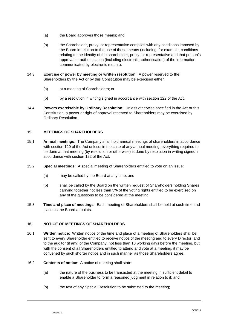- (a) the Board approves those means; and
- (b) the Shareholder, proxy, or representative complies with any conditions imposed by the Board in relation to the use of those means (including, for example, conditions relating to the identity of the shareholder, proxy, or representative and that person's approval or authentication (including electronic authentication) of the information communicated by electronic means).
- 14.3 **Exercise of power by meeting or written resolution**: A power reserved to the Shareholders by the Act or by this Constitution may be exercised either:
	- (a) at a meeting of Shareholders; or
	- (b) by a resolution in writing signed in accordance with section 122 of the Act.
- 14.4 **Powers exercisable by Ordinary Resolution**: Unless otherwise specified in the Act or this Constitution, a power or right of approval reserved to Shareholders may be exercised by Ordinary Resolution.

## **15. MEETINGS OF SHAREHOLDERS**

- 15.1 **Annual meetings**: The Company shall hold annual meetings of shareholders in accordance with section 120 of the Act unless, in the case of any annual meeting, everything required to be done at that meeting (by resolution or otherwise) is done by resolution in writing signed in accordance with section 122 of the Act.
- 15.2 **Special meetings**: A special meeting of Shareholders entitled to vote on an issue:
	- (a) may be called by the Board at any time; and
	- (b) shall be called by the Board on the written request of Shareholders holding Shares carrying together not less than 5% of the voting rights entitled to be exercised on any of the questions to be considered at the meeting.
- 15.3 **Time and place of meetings**: Each meeting of Shareholders shall be held at such time and place as the Board appoints.

## <span id="page-12-0"></span>**16. NOTICE OF MEETINGS OF SHAREHOLDERS**

- 16.1 **Written notice**: Written notice of the time and place of a meeting of Shareholders shall be sent to every Shareholder entitled to receive notice of the meeting and to every Director, and to the auditor (if any) of the Company, not less than 10 working days before the meeting, but with the consent of all Shareholders entitled to attend and vote at a meeting, it may be convened by such shorter notice and in such manner as those Shareholders agree.
- 16.2 **Contents of notice**: A notice of meeting shall state:
	- (a) the nature of the business to be transacted at the meeting in sufficient detail to enable a Shareholder to form a reasoned judgment in relation to it; and
	- (b) the text of any Special Resolution to be submitted to the meeting;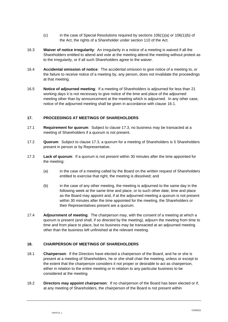- (c) in the case of Special Resolutions required by sections  $106(1)(a)$  or  $106(1)(b)$  of the Act, the rights of a Shareholder under section 110 of the Act.
- 16.3 **Waiver of notice irregularity**: An irregularity in a notice of a meeting is waived if all the Shareholders entitled to attend and vote at the meeting attend the meeting without protest as to the irregularity, or if all such Shareholders agree to the waiver.
- 16.4 **Accidental omission of notice**: The accidental omission to give notice of a meeting to, or the failure to receive notice of a meeting by, any person, does not invalidate the proceedings at that meeting.
- 16.5 **Notice of adjourned meeting**: If a meeting of Shareholders is adjourned for less than 21 working days it is not necessary to give notice of the time and place of the adjourned meeting other than by announcement at the meeting which is adjourned. In any other case, notice of the adjourned meeting shall be given in accordance with clause [16.1.](#page-12-0)

## **17. PROCEEDINGS AT MEETINGS OF SHAREHOLDERS**

- 17.1 **Requirement for quorum**: Subject to clause [17.3,](#page-13-0) no business may be transacted at a meeting of Shareholders if a quorum is not present.
- 17.2 **Quorum**: Subject to clause [17.3,](#page-13-0) a quorum for a meeting of Shareholders is 5 Shareholders present in person or by Representative.
- <span id="page-13-0"></span>17.3 **Lack of quorum**: If a quorum is not present within 30 minutes after the time appointed for the meeting:
	- (a) in the case of a meeting called by the Board on the written request of Shareholders entitled to exercise that right, the meeting is dissolved; and
	- (b) in the case of any other meeting, the meeting is adjourned to the same day in the following week at the same time and place, or to such other date, time and place as the Board may appoint and, if at the adjourned meeting a quorum is not present within 30 minutes after the time appointed for the meeting, the Shareholders or their Representatives present are a quorum.
- 17.4 **Adjournment of meeting**: The chairperson may, with the consent of a meeting at which a quorum is present (and shall, if so directed by the meeting), adjourn the meeting from time to time and from place to place, but no business may be transacted at an adjourned meeting other than the business left unfinished at the relevant meeting.

## **18. CHAIRPERSON OF MEETINGS OF SHAREHOLDERS**

- 18.1 **Chairperson**: If the Directors have elected a chairperson of the Board, and he or she is present at a meeting of Shareholders, he or she shall chair the meeting, unless or except to the extent that the chairperson considers it not proper or desirable to act as chairperson, either in relation to the entire meeting or in relation to any particular business to be considered at the meeting.
- 18.2 **Directors may appoint chairperson**: If no chairperson of the Board has been elected or if, at any meeting of Shareholders, the chairperson of the Board is not present within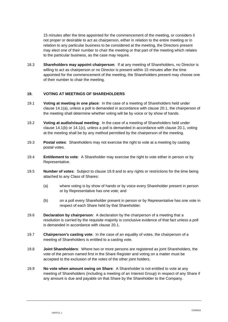15 minutes after the time appointed for the commencement of the meeting, or considers it not proper or desirable to act as chairperson, either in relation to the entire meeting or in relation to any particular business to be considered at the meeting, the Directors present may elect one of their number to chair the meeting or that part of the meeting which relates to the particular business, as the case may require.

18.3 **Shareholders may appoint chairperson**: If at any meeting of Shareholders, no Director is willing to act as chairperson or no Director is present within 15 minutes after the time appointed for the commencement of the meeting, the Shareholders present may choose one of their number to chair the meeting.

#### **19. VOTING AT MEETINGS OF SHAREHOLDERS**

- 19.1 **Voting at meeting in one place**: In the case of a meeting of Shareholders held under clause [14.1\(a\),](#page-11-0) unless a poll is demanded in accordance with clause [20.1,](#page-15-1) the chairperson of the meeting shall determine whether voting will be by voice or by show of hands.
- 19.2 **Voting at audio/visual meeting**: In the case of a meeting of Shareholders held under clause [14.1\(b\)](#page-11-1) or [14.1\(c\),](#page-11-2) unless a poll is demanded in accordance with clause [20.1,](#page-15-1) voting at the meeting shall be by any method permitted by the chairperson of the meeting.
- 19.3 **Postal votes**: Shareholders may not exercise the right to vote at a meeting by casting postal votes.
- 19.4 **Entitlement to vote**: A Shareholder may exercise the right to vote either in person or by Representative.
- 19.5 **Number of votes**: Subject to clause [19.9](#page-14-0) and to any rights or restrictions for the time being attached to any Class of Shares:
	- (a) where voting is by show of hands or by voice every Shareholder present in person or by Representative has one vote; and
	- (b) on a poll every Shareholder present in person or by Representative has one vote in respect of each Share held by that Shareholder.
- 19.6 **Declaration by chairperson**: A declaration by the chairperson of a meeting that a resolution is carried by the requisite majority is conclusive evidence of that fact unless a poll is demanded in accordance with clause [20.1.](#page-15-1)
- 19.7 **Chairperson's casting vote**: In the case of an equality of votes, the chairperson of a meeting of Shareholders is entitled to a casting vote.
- 19.8 **Joint Shareholders**: Where two or more persons are registered as joint Shareholders, the vote of the person named first in the Share Register and voting on a matter must be accepted to the exclusion of the votes of the other joint holders.
- <span id="page-14-0"></span>19.9 **No vote when amount owing on Share**: A Shareholder is not entitled to vote at any meeting of Shareholders (including a meeting of an Interest Group) in respect of any Share if any amount is due and payable on that Share by the Shareholder to the Company.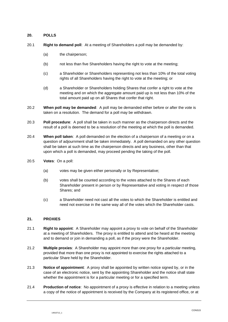## **20. POLLS**

- <span id="page-15-1"></span>20.1 **Right to demand poll**: At a meeting of Shareholders a poll may be demanded by:
	- (a) the chairperson;
	- (b) not less than five Shareholders having the right to vote at the meeting;
	- (c) a Shareholder or Shareholders representing not less than 10% of the total voting rights of all Shareholders having the right to vote at the meeting; or
	- (d) a Shareholder or Shareholders holding Shares that confer a right to vote at the meeting and on which the aggregate amount paid up is not less than 10% of the total amount paid up on all Shares that confer that right.
- 20.2 **When poll may be demanded**: A poll may be demanded either before or after the vote is taken on a resolution. The demand for a poll may be withdrawn.
- 20.3 **Poll procedure**: A poll shall be taken in such manner as the chairperson directs and the result of a poll is deemed to be a resolution of the meeting at which the poll is demanded.
- 20.4 **When poll taken**: A poll demanded on the election of a chairperson of a meeting or on a question of adjournment shall be taken immediately. A poll demanded on any other question shall be taken at such time as the chairperson directs and any business, other than that upon which a poll is demanded, may proceed pending the taking of the poll.
- 20.5 **Votes**: On a poll:
	- (a) votes may be given either personally or by Representative;
	- (b) votes shall be counted according to the votes attached to the Shares of each Shareholder present in person or by Representative and voting in respect of those Shares; and
	- (c) a Shareholder need not cast all the votes to which the Shareholder is entitled and need not exercise in the same way all of the votes which the Shareholder casts.

## <span id="page-15-0"></span>**21. PROXIES**

- 21.1 **Right to appoint**: A Shareholder may appoint a proxy to vote on behalf of the Shareholder at a meeting of Shareholders. The proxy is entitled to attend and be heard at the meeting and to demand or join in demanding a poll, as if the proxy were the Shareholder.
- 21.2 **Multiple proxies**: A Shareholder may appoint more than one proxy for a particular meeting, provided that more than one proxy is not appointed to exercise the rights attached to a particular Share held by the Shareholder.
- 21.3 **Notice of appointment**: A proxy shall be appointed by written notice signed by, or in the case of an electronic notice, sent by the appointing Shareholder and the notice shall state whether the appointment is for a particular meeting or for a specified term.
- 21.4 **Production of notice**: No appointment of a proxy is effective in relation to a meeting unless a copy of the notice of appointment is received by the Company at its registered office, or at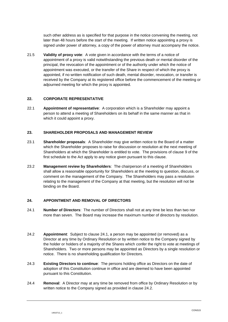such other address as is specified for that purpose in the notice convening the meeting, not later than 48 hours before the start of the meeting. If written notice appointing a proxy is signed under power of attorney, a copy of the power of attorney must accompany the notice.

21.5 **Validity of proxy vote**: A vote given in accordance with the terms of a notice of appointment of a proxy is valid notwithstanding the previous death or mental disorder of the principal, the revocation of the appointment or of the authority under which the notice of appointment was executed, or the transfer of the Share in respect of which the proxy is appointed, if no written notification of such death, mental disorder, revocation, or transfer is received by the Company at its registered office before the commencement of the meeting or adjourned meeting for which the proxy is appointed.

# **22. CORPORATE REPRESENTATIVE**

<span id="page-16-0"></span>22.1 **Appointment of representative**: A corporation which is a Shareholder may appoint a person to attend a meeting of Shareholders on its behalf in the same manner as that in which it could appoint a proxy.

## **23. SHAREHOLDER PROPOSALS AND MANAGEMENT REVIEW**

- 23.1 **Shareholder proposals**: A Shareholder may give written notice to the Board of a matter which the Shareholder proposes to raise for discussion or resolution at the next meeting of Shareholders at which the Shareholder is entitled to vote. The provisions of clause 9 of the first schedule to the Act apply to any notice given pursuant to this clause.
- 23.2 **Management review by Shareholders**: The chairperson of a meeting of Shareholders shall allow a reasonable opportunity for Shareholders at the meeting to question, discuss, or comment on the management of the Company. The Shareholders may pass a resolution relating to the management of the Company at that meeting, but the resolution will not be binding on the Board.

## <span id="page-16-1"></span>**24. APPOINTMENT AND REMOVAL OF DIRECTORS**

- 24.1 **Number of Directors**: The number of Directors shall not at any time be less than two nor more than seven. The Board may increase the maximum number of directors by resolution.
- <span id="page-16-2"></span>24.2 **Appointment**: Subject to clause [24.1,](#page-16-1) a person may be appointed (or removed) as a Director at any time by Ordinary Resolution or by written notice to the Company signed by the holder or holders of a majority of the Shares which confer the right to vote at meetings of Shareholders. Two or more persons may be appointed as Directors by a single resolution or notice. There is no shareholding qualification for Directors.
- 24.3 **Existing Directors to continue**: The persons holding office as Directors on the date of adoption of this Constitution continue in office and are deemed to have been appointed pursuant to this Constitution.
- <span id="page-16-3"></span>24.4 **Removal**: A Director may at any time be removed from office by Ordinary Resolution or by written notice to the Company signed as provided in clause [24.2.](#page-16-2)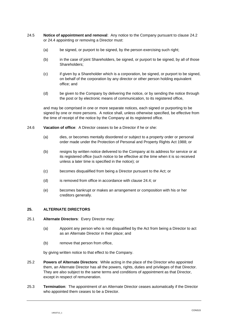- 24.5 **Notice of appointment and removal**: Any notice to the Company pursuant to clause [24.2](#page-16-2) or [24.4](#page-16-3) appointing or removing a Director must:
	- (a) be signed, or purport to be signed, by the person exercising such right;
	- (b) in the case of joint Shareholders, be signed, or purport to be signed, by all of those Shareholders;
	- (c) if given by a Shareholder which is a corporation, be signed, or purport to be signed, on behalf of the corporation by any director or other person holding equivalent office; and
	- (d) be given to the Company by delivering the notice, or by sending the notice through the post or by electronic means of communication, to its registered office,

and may be comprised in one or more separate notices, each signed or purporting to be signed by one or more persons. A notice shall, unless otherwise specified, be effective from the time of receipt of the notice by the Company at its registered office.

- 24.6 **Vacation of office**: A Director ceases to be a Director if he or she:
	- (a) dies, or becomes mentally disordered or subject to a property order or personal order made under the Protection of Personal and Property Rights Act 1988; or
	- (b) resigns by written notice delivered to the Company at its address for service or at its registered office (such notice to be effective at the time when it is so received unless a later time is specified in the notice); or
	- (c) becomes disqualified from being a Director pursuant to the Act; or
	- (d) is removed from office in accordance with clause [24.4;](#page-16-3) or
	- (e) becomes bankrupt or makes an arrangement or composition with his or her creditors generally.

#### **25. ALTERNATE DIRECTORS**

- 25.1 **Alternate Directors**: Every Director may:
	- (a) Appoint any person who is not disqualified by the Act from being a Director to act as an Alternate Director in their place; and
	- (b) remove that person from office,

by giving written notice to that effect to the Company.

- 25.2 **Powers of Alternate Directors**: While acting in the place of the Director who appointed them, an Alternate Director has all the powers, rights, duties and privileges of that Director. They are also subject to the same terms and conditions of appointment as that Director, except in respect of remuneration.
- 25.3 **Termination**: The appointment of an Alternate Director ceases automatically if the Director who appointed them ceases to be a Director.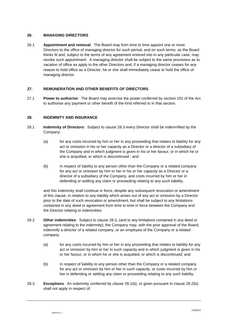# **26. MANAGING DIRECTORS**

26.1 **Appointment and removal**: The Board may from time to time appoint one or more Directors to the office of managing director for such period, and on such terms, as the Board thinks fit and, subject to the terms of any agreement entered into in any particular case, may revoke such appointment. A managing director shall be subject to the same provisions as to vacation of office as apply to the other Directors and, if a managing director ceases for any reason to hold office as a Director, he or she shall immediately cease to hold the office of managing director.

# **27. REMUNERATION AND OTHER BENEFITS OF DIRECTORS**

<span id="page-18-5"></span>27.1 **Power to authorise**: The Board may exercise the power conferred by section 161 of the Act to authorise any payment or other benefit of the kind referred to in that section.

# **28. INDEMNITY AND INSURANCE**

- <span id="page-18-3"></span>28.1 **Indemnity of Directors**: Subject to clause [28.3](#page-18-0) every Director shall be indemnified by the Company:
	- (a) for any costs incurred by him or her in any proceeding that relates to liability for any act or omission in his or her capacity as a Director or a director of a subsidiary of the Company and in which judgment is given in his or her favour, or in which he or she is acquitted, or which is discontinued ; and
	- (b) in respect of liability to any person other than the Company or a related company for any act or omission by him or her in his or her capacity as a Director or a director of a subsidiary of the Company, and costs incurred by him or her in defending or settling any claim or proceeding relating to any such liability,

<span id="page-18-1"></span>and this indemnity shall continue in force, despite any subsequent revocation or amendment of this clause, in relation to any liability which arises out of any act or omission by a Director prior to the date of such revocation or amendment, but shall be subject to any limitations contained in any deed or agreement from time to time in force between the Company and the Director relating to indemnities.

- <span id="page-18-4"></span>28.2 **Other indemnities**: Subject to clause [28.3,](#page-18-0) (and to any limitations contained in any deed or agreement relating to the indemnity), the Company may, with the prior approval of the Board, indemnify a director of a related company, or an employee of the Company or a related company:
	- (a) for any costs incurred by him or her in any proceeding that relates to liability for any act or omission by him or her in such capacity and in which judgment is given in his or her favour, or in which he or she is acquitted, or which is discontinued; and
	- (b) in respect of liability to any person other than the Company or a related company for any act or omission by him or her in such capacity, or costs incurred by him or her in defending or settling any claim or proceeding relating to any such liability.
- <span id="page-18-2"></span><span id="page-18-0"></span>28.3 **Exceptions**: An indemnity conferred by clause [28.1\(b\),](#page-18-1) or given pursuant to clause [28.2\(b\),](#page-18-2) shall not apply in respect of: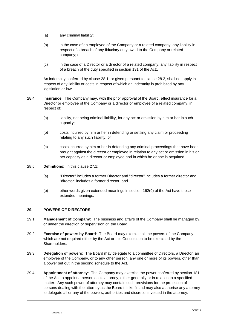- (a) any criminal liability;
- (b) in the case of an employee of the Company or a related company, any liability in respect of a breach of any fiduciary duty owed to the Company or related company; or
- (c) in the case of a Director or a director of a related company, any liability in respect of a breach of the duty specified in section 131 of the Act;.

An indemnity conferred by clause [28.1,](#page-18-3) or given pursuant to clause [28.2,](#page-18-4) shall not apply in respect of any liability or costs in respect of which an indemnity is prohibited by any legislation or law.

- 28.4 **Insurance**: The Company may, with the prior approval of the Board, effect insurance for a Director or employee of the Company or a director or employee of a related company, in respect of:
	- (a) liability, not being criminal liability, for any act or omission by him or her in such capacity;
	- (b) costs incurred by him or her in defending or settling any claim or proceeding relating to any such liability; or
	- (c) costs incurred by him or her in defending any criminal proceedings that have been brought against the director or employee in relation to any act or omission in his or her capacity as a director or employee and in which he or she is acquitted.
- 28.5 **Definitions**: In this clause [27.1:](#page-18-5)
	- (a) "Director" includes a former Director and "director" includes a former director and "director" includes a former director; and
	- (b) other words given extended meanings in section 162(9) of the Act have those extended meanings.

## **29. POWERS OF DIRECTORS**

- 29.1 **Management of Company**: The business and affairs of the Company shall be managed by, or under the direction or supervision of, the Board.
- 29.2 **Exercise of powers by Board**: The Board may exercise all the powers of the Company which are not required either by the Act or this Constitution to be exercised by the Shareholders.
- 29.3 **Delegation of powers**: The Board may delegate to a committee of Directors, a Director, an employee of the Company, or to any other person, any one or more of its powers, other than a power set out in the second schedule to the Act.
- 29.4 **Appointment of attorney**: The Company may exercise the power conferred by section 181 of the Act to appoint a person as its attorney, either generally or in relation to a specified matter. Any such power of attorney may contain such provisions for the protection of persons dealing with the attorney as the Board thinks fit and may also authorise any attorney to delegate all or any of the powers, authorities and discretions vested in the attorney.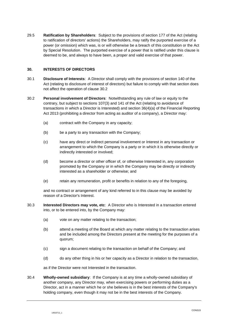29.5 **Ratification by Shareholders**: Subject to the provisions of section 177 of the Act (relating to ratification of directors' actions) the Shareholders, may ratify the purported exercise of a power (or omission) which was, is or will otherwise be a breach of this constitution or the Act by Special Resolution. The purported exercise of a power that is ratified under this clause is deemed to be, and always to have been, a proper and valid exercise of that power.

# **30. INTERESTS OF DIRECTORS**

- 30.1 **Disclosure of Interests**: A Director shall comply with the provisions of section 140 of the Act (relating to disclosure of interest of directors) but failure to comply with that section does not affect the operation of clause [30.2](#page-20-0)
- <span id="page-20-0"></span>30.2 **Personal involvement of Directors**: Notwithstanding any rule of law or equity to the contrary, but subject to sections 107(3) and 141 of the Act (relating to avoidance of transactions in which a Director is Interested) and section 36(4)(a) of the Financial Reporting Act 2013 (prohibiting a director from acting as auditor of a company), a Director may:
	- (a) contract with the Company in any capacity;
	- (b) be a party to any transaction with the Company;
	- (c) have any direct or indirect personal involvement or Interest in any transaction or arrangement to which the Company is a party or in which it is otherwise directly or indirectly interested or involved;
	- (d) become a director or other officer of, or otherwise Interested in, any corporation promoted by the Company or in which the Company may be directly or indirectly interested as a shareholder or otherwise; and
	- (e) retain any remuneration, profit or benefits in relation to any of the foregoing,

and no contract or arrangement of any kind referred to in this clause may be avoided by reason of a Director's Interest.

- 30.3 **Interested Directors may vote, etc**: A Director who is Interested in a transaction entered into, or to be entered into, by the Company may:
	- (a) vote on any matter relating to the transaction;
	- (b) attend a meeting of the Board at which any matter relating to the transaction arises and be included among the Directors present at the meeting for the purposes of a quorum;
	- (c) sign a document relating to the transaction on behalf of the Company; and
	- (d) do any other thing in his or her capacity as a Director in relation to the transaction,

as if the Director were not Interested in the transaction.

30.4 **WhoIly-owned subsidiary**: If the Company is at any time a wholly-owned subsidiary of another company, any Director may, when exercising powers or performing duties as a Director, act in a manner which he or she believes is in the best interests of the Company's holding company, even though it may not be in the best interests of the Company.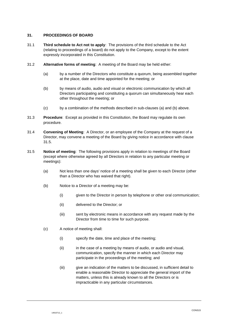# **31. PROCEEDINGS OF BOARD**

- 31.1 **Third schedule to Act not to apply**: The provisions of the third schedule to the Act (relating to proceedings of a board) do not apply to the Company, except to the extent expressly incorporated in this Constitution.
- 31.2 **Alternative forms of meeting**: A meeting of the Board may be held either:
	- (a) by a number of the Directors who constitute a quorum, being assembled together at the place, date and time appointed for the meeting; or
	- (b) by means of audio, audio and visual or electronic communication by which all Directors participating and constituting a quorum can simultaneously hear each other throughout the meeting; or
	- (c) by a combination of the methods described in sub-clauses (a) and (b) above.
- 31.3 **Procedure**: Except as provided in this Constitution, the Board may regulate its own procedure.
- 31.4 **Convening of Meeting**: A Director, or an employee of the Company at the request of a Director, may convene a meeting of the Board by giving notice in accordance with clause [31.5.](#page-21-0)
- <span id="page-21-0"></span>31.5 **Notice of meeting**: The following provisions apply in relation to meetings of the Board (except where otherwise agreed by all Directors in relation to any particular meeting or meetings):
	- (a) Not less than one days' notice of a meeting shall be given to each Director (other than a Director who has waived that right).
	- (b) Notice to a Director of a meeting may be:
		- (i) given to the Director in person by telephone or other oral communication;
		- (ii) delivered to the Director; or
		- (iii) sent by electronic means in accordance with any request made by the Director from time to time for such purpose.
	- (c) A notice of meeting shall:
		- (i) specify the date, time and place of the meeting;
		- (ii) in the case of a meeting by means of audio, or audio and visual, communication, specify the manner in which each Director may participate in the proceedings of the meeting; and
		- (iii) give an indication of the matters to be discussed, in sufficient detail to enable a reasonable Director to appreciate the general import of the matters, unless this is already known to all the Directors or is impracticable in any particular circumstances.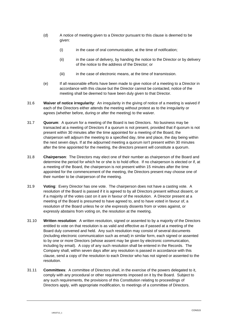- (d) A notice of meeting given to a Director pursuant to this clause is deemed to be given:
	- (i) in the case of oral communication, at the time of notification;
	- (ii) in the case of delivery, by handing the notice to the Director or by delivery of the notice to the address of the Director; or
	- (iii) in the case of electronic means, at the time of transmission.
- (e) If all reasonable efforts have been made to give notice of a meeting to a Director in accordance with this clause but the Director cannot be contacted, notice of the meeting shall be deemed to have been duly given to that Director.
- 31.6 **Waiver of notice irregularity**: An irregularity in the giving of notice of a meeting is waived if each of the Directors either attends the meeting without protest as to the irregularity or agrees (whether before, during or after the meeting) to the waiver.
- 31.7 **Quorum**: A quorum for a meeting of the Board is two Directors. No business may be transacted at a meeting of Directors if a quorum is not present, provided that if quorum is not present within 30 minutes after the time appointed for a meeting of the Board, the chairperson will adjourn the meeting to a specified day, time and place, the day being within the next seven days. If at the adjourned meeting a quorum isn't present within 30 minutes after the time appointed for the meeting, the directors present will constitute a quorum.
- 31.8 **Chairperson**: The Directors may elect one of their number as chairperson of the Board and determine the period for which he or she is to hold office. If no chairperson is elected or if, at a meeting of the Board, the chairperson is not present within 15 minutes after the time appointed for the commencement of the meeting, the Directors present may choose one of their number to be chairperson of the meeting.
- 31.9 **Voting**: Every Director has one vote. The chairperson does not have a casting vote. A resolution of the Board is passed if it is agreed to by all Directors present without dissent, or if a majority of the votes cast on it are in favour of the resolution. A Director present at a meeting of the Board is presumed to have agreed to, and to have voted in favour of, a resolution of the Board unless he or she expressly dissents from or votes against, or expressly abstains from voting on, the resolution at the meeting.
- 31.10 **Written resolution**: A written resolution, signed or assented to by a majority of the Directors entitled to vote on that resolution is as valid and effective as if passed at a meeting of the Board duly convened and held. Any such resolution may consist of several documents (including electronic communication such as email) in similar form, each signed or assented to by one or more Directors (whose assent may be given by electronic communication, including by email). A copy of any such resolution shall be entered in the Records. The Company shall, within seven days after any resolution is passed in accordance with this clause, send a copy of the resolution to each Director who has not signed or assented to the resolution.
- 31.11 **Committees**: A committee of Directors shall, in the exercise of the powers delegated to it, comply with any procedural or other requirements imposed on it by the Board. Subject to any such requirements, the provisions of this Constitution relating to proceedings of Directors apply, with appropriate modification, to meetings of a committee of Directors.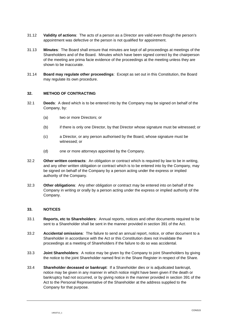- 31.12 **Validity of actions**: The acts of a person as a Director are valid even though the person's appointment was defective or the person is not qualified for appointment.
- 31.13 **Minutes**: The Board shall ensure that minutes are kept of all proceedings at meetings of the Shareholders and of the Board. Minutes which have been signed correct by the chairperson of the meeting are prima facie evidence of the proceedings at the meeting unless they are shown to be inaccurate.
- 31.14 **Board may regulate other proceedings**: Except as set out in this Constitution, the Board may regulate its own procedure.

#### **32. METHOD OF CONTRACTING**

- 32.1 **Deeds**: A deed which is to be entered into by the Company may be signed on behalf of the Company, by:
	- (a) two or more Directors; or
	- (b) if there is only one Director, by that Director whose signature must be witnessed; or
	- (c) a Director, or any person authorised by the Board, whose signature must be witnessed; or
	- (d) one or more attorneys appointed by the Company.
- 32.2 **Other written contracts**: An obligation or contract which is required by law to be in writing, and any other written obligation or contract which is to be entered into by the Company, may be signed on behalf of the Company by a person acting under the express or implied authority of the Company.
- 32.3 **Other obligations**: Any other obligation or contract may be entered into on behalf of the Company in writing or orally by a person acting under the express or implied authority of the Company.

#### **33. NOTICES**

- 33.1 **Reports, etc to Shareholders**: Annual reports, notices and other documents required to be sent to a Shareholder shall be sent in the manner provided in section 391 of the Act.
- 33.2 **Accidental omissions**: The failure to send an annual report, notice, or other document to a Shareholder in accordance with the Act or this Constitution does not invalidate the proceedings at a meeting of Shareholders if the failure to do so was accidental.
- 33.3 **Joint Shareholders**: A notice may be given by the Company to joint Shareholders by giving the notice to the joint Shareholder named first in the Share Register in respect of the Share.
- 33.4 **Shareholder deceased or bankrupt**: If a Shareholder dies or is adjudicated bankrupt, notice may be given in any manner in which notice might have been given if the death or bankruptcy had not occurred, or by giving notice in the manner provided in section 391 of the Act to the Personal Representative of the Shareholder at the address supplied to the Company for that purpose.